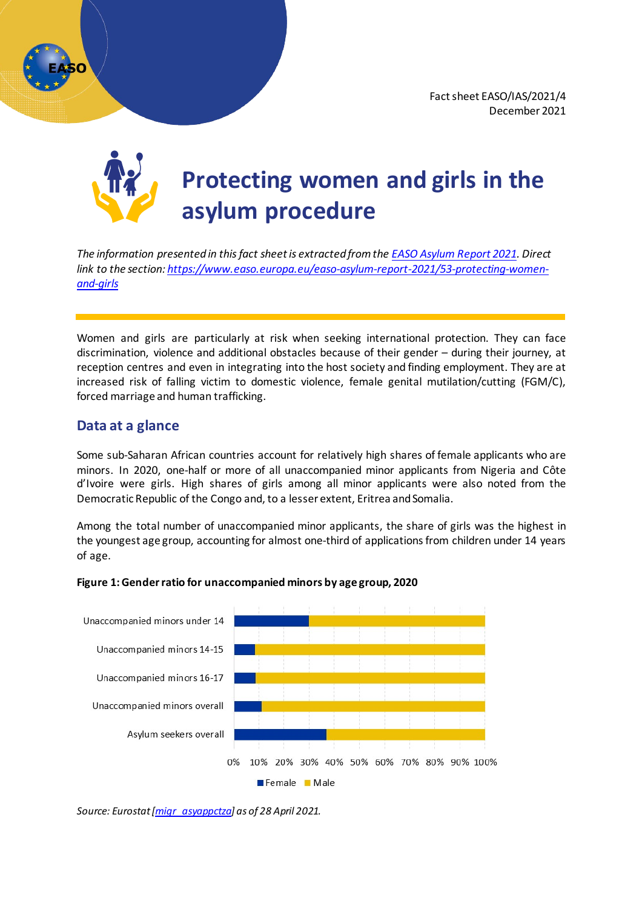# **Protecting women and girls in the asylum procedure**

*The information presented in this fact sheet is extracted from th[e EASO Asylum Report 2021.](https://easo.europa.eu/EASO-Asylum-Report-2021.pdf) Direct link to the section: [https://www.easo.europa.eu/easo-asylum-report-2021/53-protecting-women](https://www.easo.europa.eu/easo-asylum-report-2021/53-protecting-women-and-girls)[and-girls](https://www.easo.europa.eu/easo-asylum-report-2021/53-protecting-women-and-girls)*

Women and girls are particularly at risk when seeking international protection. They can face discrimination, violence and additional obstacles because of their gender – during their journey, at reception centres and even in integrating into the host society and finding employment. They are at increased risk of falling victim to domestic violence, female genital mutilation/cutting (FGM/C), forced marriage and human trafficking.

# **Data at a glance**

Some sub-Saharan African countries account for relatively high shares of female applicants who are minors. In 2020, one-half or more of all unaccompanied minor applicants from Nigeria and Côte d'Ivoire were girls. High shares of girls among all minor applicants were also noted from the Democratic Republic of the Congo and, to a lesser extent, Eritrea and Somalia.

Among the total number of unaccompanied minor applicants, the share of girls was the highest in the youngest age group, accounting for almost one-third of applications from children under 14 years of age.



## **Figure 1:Gender ratio for unaccompanied minors by age group, 2020**

*Source: Eurostat [\[migr\\_asyappctza](https://ec.europa.eu/eurostat/databrowser/view/migr_asyappctza/default/table?lang=en)] as of 28 April 2021.*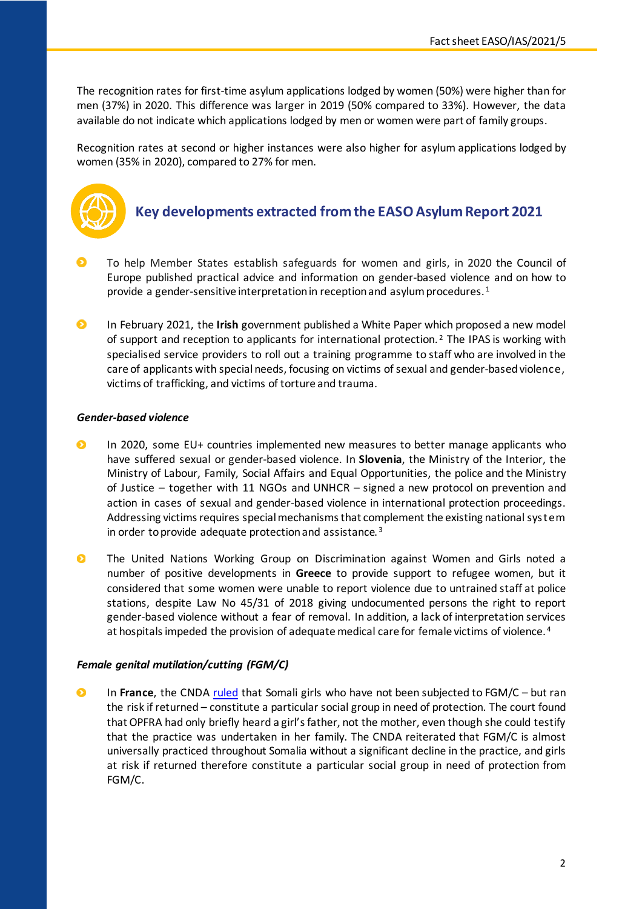The recognition rates for first-time asylum applications lodged by women (50%) were higher than for men (37%) in 2020. This difference was larger in 2019 (50% compared to 33%). However, the data available do not indicate which applications lodged by men or women were part of family groups.

Recognition rates at second or higher instances were also higher for asylum applications lodged by women (35% in 2020), compared to 27% for men.



# **Key developments extracted fromthe EASO Asylum Report 2021**

- To help Member States establish safeguards for women and girls, in 2020 the Council of Europe published practical advice and information on gender-based violence and on how to provide a gender-sensitive interpretation in reception and asylum procedures.<sup>[1](#page-4-0)</sup>
- $\bullet$ In February 2021, the **Irish** government published a White Paper which proposed a new model of support and reception to applicants for international protection.<sup>[2](#page-4-1)</sup> The IPAS is working with specialised service providers to roll out a training programme to staff who are involved in the care of applicants with special needs, focusing on victims of sexual and gender-basedviolence, victims of trafficking, and victims of torture and trauma.

## *Gender-based violence*

- $\bullet$ In 2020, some EU+ countries implemented new measures to better manage applicants who have suffered sexual or gender-based violence. In **Slovenia**, the Ministry of the Interior, the Ministry of Labour, Family, Social Affairs and Equal Opportunities, the police and the Ministry of Justice – together with 11 NGOs and UNHCR – signed a new protocol on prevention and action in cases of sexual and gender-based violence in international protection proceedings. Addressing victims requires special mechanisms that complement the existing national system in order to provide adequate protection and assistance. [3](#page-4-2)
- $\bullet$ The United Nations Working Group on Discrimination against Women and Girls noted a number of positive developments in **Greece** to provide support to refugee women, but it considered that some women were unable to report violence due to untrained staff at police stations, despite Law No 45/31 of 2018 giving undocumented persons the right to report gender-based violence without a fear of removal. In addition, a lack of interpretation services at hospitals impeded the provision of adequate medical care for female victims of violence. [4](#page-4-3)

## *Female genital mutilation/cutting (FGM/C)*

 $\bullet$ In **France**, the CND[A ruled](https://caselaw.easo.europa.eu/pages/viewcaselaw.aspx?CaseLawID=1370) that Somali girls who have not been subjected to FGM/C – but ran the risk if returned – constitute a particular social group in need of protection. The court found that OPFRA had only briefly heard a girl's father, not the mother, even though she could testify that the practice was undertaken in her family. The CNDA reiterated that FGM/C is almost universally practiced throughout Somalia without a significant decline in the practice, and girls at risk if returned therefore constitute a particular social group in need of protection from FGM/C.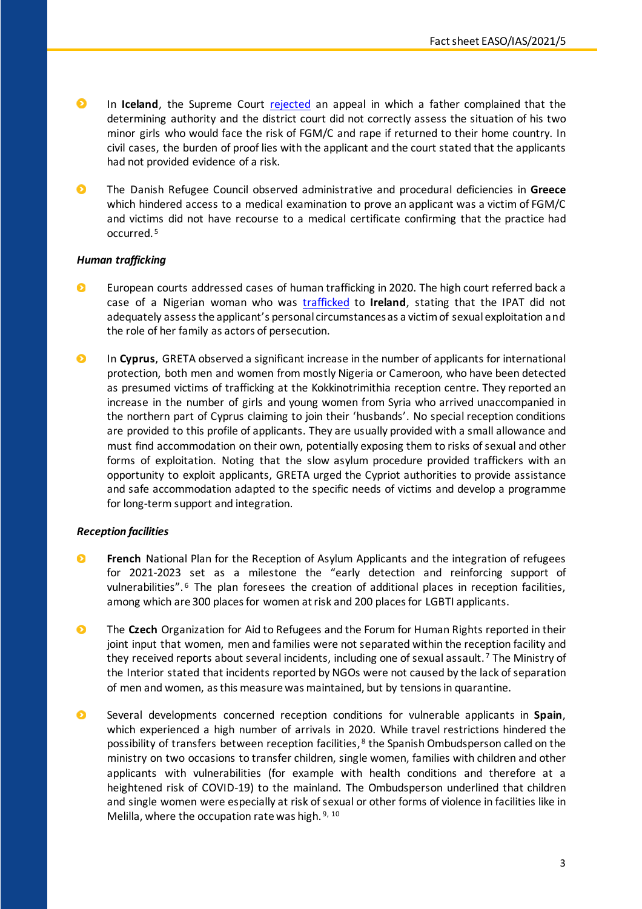- $\bullet$ In **Iceland**, the Supreme Court [rejected](https://caselaw.easo.europa.eu/pages/viewcaselaw.aspx?CaseLawID=1415) an appeal in which a father complained that the determining authority and the district court did not correctly assess the situation of his two minor girls who would face the risk of FGM/C and rape if returned to their home country. In civil cases, the burden of proof lies with the applicant and the court stated that the applicants had not provided evidence of a risk.
- The Danish Refugee Council observed administrative and procedural deficiencies in **Greece**  $\bullet$ which hindered access to a medical examination to prove an applicant was a victim of FGM/C and victims did not have recourse to a medical certificate confirming that the practice had occurred. [5](#page-4-4)

## *Human trafficking*

- $\bullet$ European courts addressed cases of human trafficking in 2020. The high court referred back a case of a Nigerian woman who was [trafficked](https://caselaw.easo.europa.eu/pages/viewcaselaw.aspx?CaseLawID=1542) to **Ireland**, stating that the IPAT did not adequately assess the applicant's personal circumstances as a victim of sexual exploitation and the role of her family as actors of persecution.
- $\bullet$ In **Cyprus**, GRETA observed a significant increase in the number of applicants for international protection, both men and women from mostly Nigeria or Cameroon, who have been detected as presumed victims of trafficking at the Kokkinotrimithia reception centre. They reported an increase in the number of girls and young women from Syria who arrived unaccompanied in the northern part of Cyprus claiming to join their 'husbands'. No special reception conditions are provided to this profile of applicants. They are usually provided with a small allowance and must find accommodation on their own, potentially exposing them to risks of sexual and other forms of exploitation. Noting that the slow asylum procedure provided traffickers with an opportunity to exploit applicants, GRETA urged the Cypriot authorities to provide assistance and safe accommodation adapted to the specific needs of victims and develop a programme for long-term support and integration.

## *Reception facilities*

- $\bullet$ **French** National Plan for the Reception of Asylum Applicants and the integration of refugees for 2021-2023 set as a milestone the "early detection and reinforcing support of vulnerabilities". [6](#page-4-5) The plan foresees the creation of additional places in reception facilities, among which are 300 places for women at risk and 200 places for LGBTI applicants.
- $\bullet$ The **Czech** Organization for Aid to Refugees and the Forum for Human Rights reported in their joint input that women, men and families were not separated within the reception facility and they received reports about several incidents, including one of sexual assault.<sup>[7](#page-4-6)</sup> The Ministry of the Interior stated that incidents reported by NGOs were not caused by the lack of separation of men and women, as this measure was maintained, but by tensions in quarantine.
- $\bullet$ Several developments concerned reception conditions for vulnerable applicants in **Spain**, which experienced a high number of arrivals in 2020. While travel restrictions hindered the possibility of transfers between reception facilities, [8](#page-4-7) the Spanish Ombudsperson called on the ministry on two occasions to transfer children, single women, families with children and other applicants with vulnerabilities (for example with health conditions and therefore at a heightened risk of COVID-19) to the mainland. The Ombudsperson underlined that children and single women were especially at risk of sexual or other forms of violence in facilities like in Melilla, where the occupation rate was high. [9](#page-4-8), [10](#page-4-9)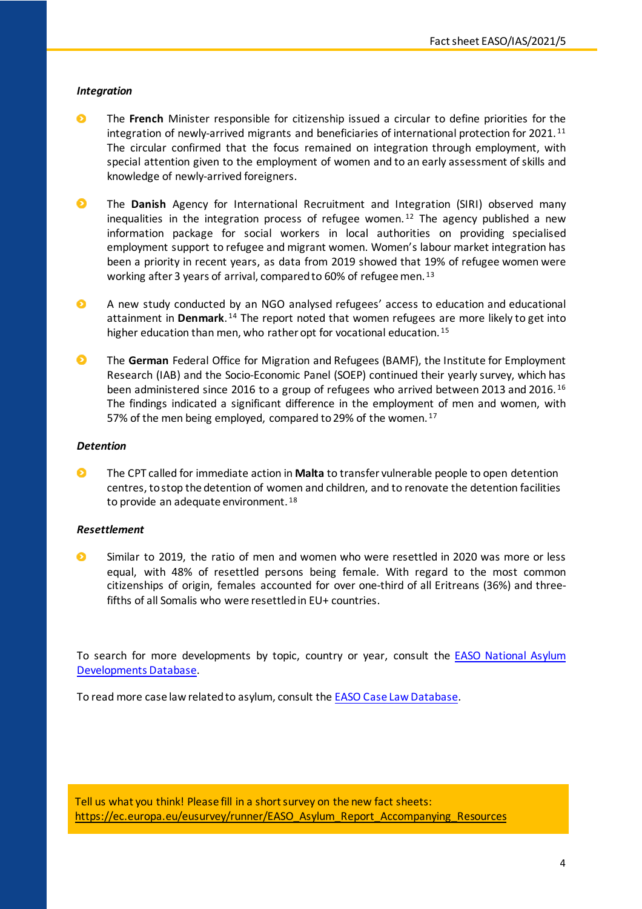#### *Integration*

- $\bullet$ The **French** Minister responsible for citizenship issued a circular to define priorities for the integration of newly-arrived migrants and beneficiaries of international protection for 2021. [11](#page-5-0) The circular confirmed that the focus remained on integration through employment, with special attention given to the employment of women and to an early assessment of skills and knowledge of newly-arrived foreigners.
- $\bullet$ The **Danish** Agency for International Recruitment and Integration (SIRI) observed many inequalities in the integration process of refugee women.<sup>[12](#page-5-1)</sup> The agency published a new information package for social workers in local authorities on providing specialised employment support to refugee and migrant women. Women's labour market integration has been a priority in recent years, as data from 2019 showed that 19% of refugee women were working after 3 years of arrival, compared to 60% of refugee men. [13](#page-5-2)
- $\bullet$ A new study conducted by an NGO analysed refugees' access to education and educational attainment in **Denmark**. [14](#page-5-3) The report noted that women refugees are more likely to get into higher education than men, who rather opt for vocational education.<sup>[15](#page-5-4)</sup>
- $\bullet$ The **German** Federal Office for Migration and Refugees (BAMF), the Institute for Employment Research (IAB) and the Socio-Economic Panel (SOEP) continued their yearly survey, which has been administered since 2016 to a group of refugees who arrived between 2013 and 2016. [16](#page-5-5) The findings indicated a significant difference in the employment of men and women, with 57% of the men being employed, compared to 29% of the women.<sup>[17](#page-5-6)</sup>

#### *Detention*

 $\bullet$ The CPT called for immediate action in **Malta** to transfer vulnerable people to open detention centres, to stop the detention of women and children, and to renovate the detention facilities to provide an adequate environment. [18](#page-5-7)

#### *Resettlement*

 $\bullet$ Similar to 2019, the ratio of men and women who were resettled in 2020 was more or less equal, with 48% of resettled persons being female. With regard to the most common citizenships of origin, females accounted for over one-third of all Eritreans (36%) and threefifths of all Somalis who were resettled in EU+ countries.

To search for more developments by topic, country or year, consult the **EASO National Asylum** Developments Database.

To read more case law related to asylum, consult the EASO Case Law Database.

Tell us what you think! Please fill in a short survey on the new fact sheets: https://ec.europa.eu/eusurvey/runner/EASO\_Asylum\_Report\_Accompanying\_Resources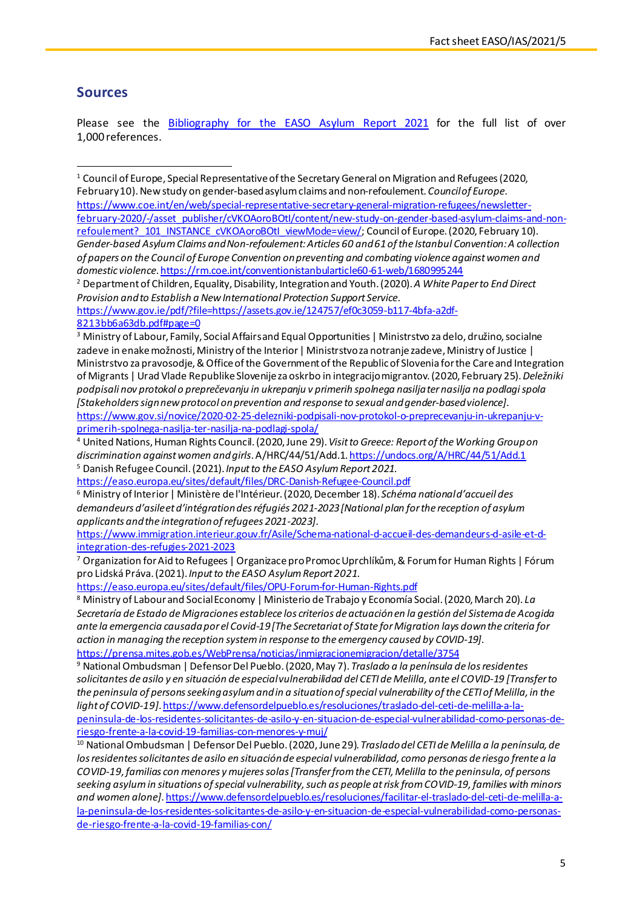## **Sources**

Please see the Bibliography for the EASO Asylum Report 2021 for the full list of over 1,000 references.

<span id="page-4-0"></span><sup>1</sup> Council of Europe, Special Representative of the Secretary General on Migration and Refugees (2020, February 10).New study on gender-based asylum claims and non-refoulement. *Council of Europe*.

https://www.coe.int/en/web/special-representative-secretary-general-migration-refugees/newsletterfebruary-2020/-/asset\_publisher/cVKOAoroBOtI/content/new-study-on-gender-based-asylum-claims-and-nonrefoulement? 101 INSTANCE\_cVKOAoroBOtI\_viewMode=view/; Council of Europe. (2020, February 10). *Gender-based Asylum Claims and Non-refoulement: Articles 60 and 61 of the Istanbul Convention: A collection of papers on the Council of Europe Convention on preventing and combating violence against women and domestic violence*. https://rm.coe.int/conventionistanbularticle60-61-web/1680995244

<span id="page-4-1"></span><sup>2</sup> Department of Children, Equality, Disability, Integration and Youth. (2020). *A White Paper to End Direct Provision and to Establish a New International Protection Support Service*.

https://www.gov.ie/pdf/?file=https://assets.gov.ie/124757/ef0c3059-b117-4bfa-a2df-8213bb6a63db.pdf#page=0

<span id="page-4-4"></span>https://easo.europa.eu/sites/default/files/DRC-Danish-Refugee-Council.pdf

<span id="page-4-5"></span><sup>6</sup> Ministry of Interior | Ministère de l'Intérieur. (2020, December 18). *Schéma national d'accueil des demandeurs d'asile et d'intégration des réfugiés 2021-2023 [National plan for the reception of asylum applicants and the integration of refugees 2021-2023]*.

https://www.immigration.interieur.gouv.fr/Asile/Schema-national-d-accueil-des-demandeurs-d-asile-et-dintegration-des-refugies-2021-2023

<span id="page-4-6"></span><sup>7</sup> Organization for Aid to Refugees | Organizace pro Promoc Uprchlíkům, & Forum for Human Rights | Fórum pro Lidská Práva. (2021). *Input to the EASO Asylum Report 2021*.

https://easo.europa.eu/sites/default/files/OPU-Forum-for-Human-Rights.pdf

<span id="page-4-7"></span><sup>8</sup> Ministry of Labour and Social Economy | Ministerio de Trabajo y Economía Social. (2020, March 20). *La Secretaría de Estado de Migraciones establece los criterios de actuación en la gestión del Sistema de Acogida ante la emergencia causada por el Covid-19 [The Secretariat of State for Migration lays down the criteria for action in managing the reception system in response to the emergency caused by COVID-19]*. https://prensa.mites.gob.es/WebPrensa/noticias/inmigracionemigracion/detalle/3754

<span id="page-4-8"></span><sup>9</sup> National Ombudsman | Defensor Del Pueblo. (2020, May 7). *Traslado a la península de los residentes solicitantes de asilo y en situación de especial vulnerabilidad del CETI de Melilla, ante el COVID-19 [Transfer to the peninsula of persons seeking asylum and in a situation of special vulnerability of the CETI of Melilla, in the light of COVID-19]*. https://www.defensordelpueblo.es/resoluciones/traslado-del-ceti-de-melilla-a-lapeninsula-de-los-residentes-solicitantes-de-asilo-y-en-situacion-de-especial-vulnerabilidad-como-personas-deriesgo-frente-a-la-covid-19-familias-con-menores-y-muj/

<span id="page-4-9"></span><sup>10</sup> National Ombudsman | Defensor Del Pueblo. (2020, June 29). *Traslado del CETI de Melilla a la península, de los residentes solicitantes de asilo en situación de especial vulnerabilidad, como personas de riesgo frente a la COVID-19, familias con menores y mujeres solas [Transfer from the CETI, Melilla to the peninsula, of persons seeking asylum in situations of special vulnerability, such as people at risk from COVID-19, families with minors and women alone]*. https://www.defensordelpueblo.es/resoluciones/facilitar-el-traslado-del-ceti-de-melilla-ala-peninsula-de-los-residentes-solicitantes-de-asilo-y-en-situacion-de-especial-vulnerabilidad-como-personasde-riesgo-frente-a-la-covid-19-familias-con/

<span id="page-4-2"></span><sup>&</sup>lt;sup>3</sup> Ministry of Labour, Family, Social Affairs and Equal Opportunities | Ministrstvo za delo, družino, socialne zadeve in enake možnosti, Ministry of the Interior | Ministrstvo za notranje zadeve, Ministry of Justice | Ministrstvo za pravosodje, & Office of the Government of the Republic of Slovenia for the Care and Integration of Migrants | Urad Vlade Republike Slovenije za oskrbo in integracijo migrantov. (2020, February 25). *Deležniki podpisali nov protokol o preprečevanju in ukrepanju v primerih spolnega nasilja ter nasilja na podlagi spola [Stakeholders sign new protocol on prevention and response to sexual and gender-based violence]*. https://www.gov.si/novice/2020-02-25-delezniki-podpisali-nov-protokol-o-preprecevanju-in-ukrepanju-vprimerih-spolnega-nasilja-ter-nasilja-na-podlagi-spola/

<span id="page-4-3"></span><sup>4</sup> United Nations, Human Rights Council. (2020, June 29). *Visit to Greece: Report of the Working Group on discrimination against women and girls*. A/HRC/44/51/Add.1. https://undocs.org/A/HRC/44/51/Add.1 <sup>5</sup> Danish Refugee Council. (2021). *Input to the EASO Asylum Report 2021*.